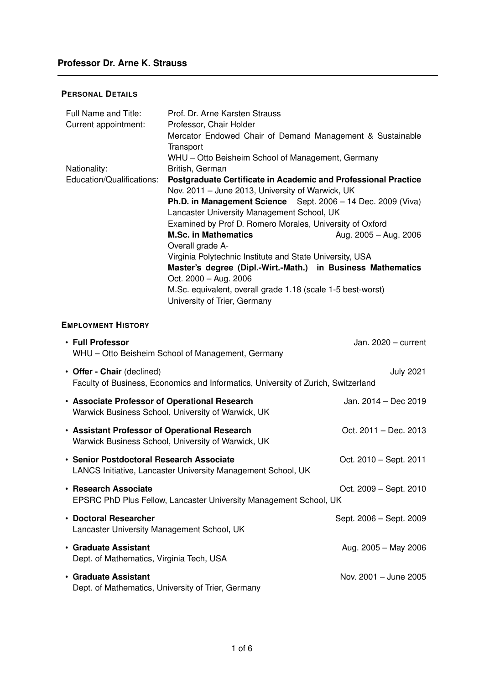### **PERSONAL DETAILS**

| Full Name and Title:      | Prof. Dr. Arne Karsten Strauss                                          |                       |
|---------------------------|-------------------------------------------------------------------------|-----------------------|
| Current appointment:      | Professor, Chair Holder                                                 |                       |
|                           | Mercator Endowed Chair of Demand Management & Sustainable               |                       |
|                           | Transport                                                               |                       |
|                           | WHU – Otto Beisheim School of Management, Germany                       |                       |
| Nationality:              | British, German                                                         |                       |
| Education/Qualifications: | <b>Postgraduate Certificate in Academic and Professional Practice</b>   |                       |
|                           | Nov. 2011 – June 2013, University of Warwick, UK                        |                       |
|                           | <b>Ph.D. in Management Science</b> Sept. $2006 - 14$ Dec. $2009$ (Viva) |                       |
|                           | Lancaster University Management School, UK                              |                       |
|                           | Examined by Prof D. Romero Morales, University of Oxford                |                       |
|                           | <b>M.Sc. in Mathematics</b>                                             | Aug. 2005 - Aug. 2006 |
|                           | Overall grade A-                                                        |                       |
|                           | Virginia Polytechnic Institute and State University, USA                |                       |
|                           | Master's degree (Dipl.-Wirt.-Math.) in Business Mathematics             |                       |
|                           | Oct. $2000 - Aug. 2006$                                                 |                       |
|                           | M.Sc. equivalent, overall grade 1.18 (scale 1-5 best-worst)             |                       |
|                           | University of Trier, Germany                                            |                       |

## **EMPLOYMENT HISTORY**

| • Full Professor<br>WHU - Otto Beisheim School of Management, Germany                                           | Jan. $2020 - current$   |
|-----------------------------------------------------------------------------------------------------------------|-------------------------|
| • Offer - Chair (declined)<br>Faculty of Business, Economics and Informatics, University of Zurich, Switzerland | <b>July 2021</b>        |
| • Associate Professor of Operational Research<br>Warwick Business School, University of Warwick, UK             | Jan. 2014 - Dec 2019    |
| • Assistant Professor of Operational Research<br>Warwick Business School, University of Warwick, UK             | Oct. 2011 - Dec. 2013   |
| • Senior Postdoctoral Research Associate<br>LANCS Initiative, Lancaster University Management School, UK        | Oct. 2010 – Sept. 2011  |
| • Research Associate<br>EPSRC PhD Plus Fellow, Lancaster University Management School, UK                       | Oct. 2009 - Sept. 2010  |
| • Doctoral Researcher<br>Lancaster University Management School, UK                                             | Sept. 2006 - Sept. 2009 |
| • Graduate Assistant<br>Dept. of Mathematics, Virginia Tech, USA                                                | Aug. 2005 - May 2006    |
| • Graduate Assistant<br>Dept. of Mathematics, University of Trier, Germany                                      | Nov. 2001 - June 2005   |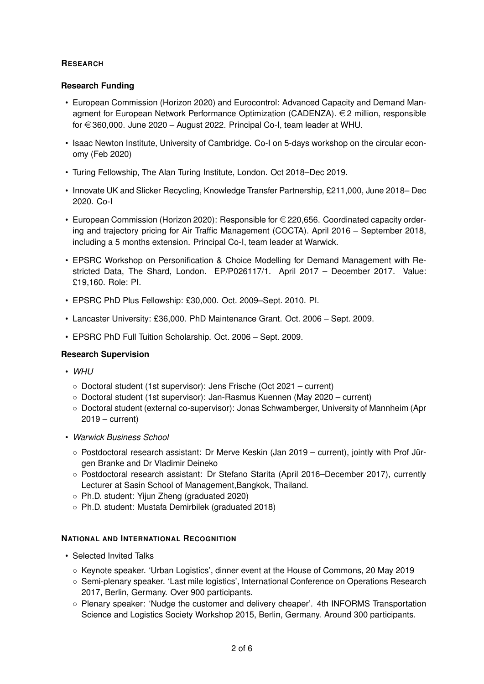# **RESEARCH**

## **Research Funding**

- European Commission (Horizon 2020) and Eurocontrol: Advanced Capacity and Demand Managment for European Network Performance Optimization (CADENZA).  $\in$  2 million, responsible for  $\epsilon$  360,000. June 2020 – August 2022. Principal Co-I, team leader at WHU.
- Isaac Newton Institute, University of Cambridge. Co-I on 5-days workshop on the circular economy (Feb 2020)
- Turing Fellowship, The Alan Turing Institute, London. Oct 2018–Dec 2019.
- Innovate UK and Slicker Recycling, Knowledge Transfer Partnership, £211,000, June 2018– Dec 2020. Co-I
- European Commission (Horizon 2020): Responsible for  $\in$  220,656. Coordinated capacity ordering and trajectory pricing for Air Traffic Management (COCTA). April 2016 – September 2018, including a 5 months extension. Principal Co-I, team leader at Warwick.
- EPSRC Workshop on Personification & Choice Modelling for Demand Management with Restricted Data, The Shard, London. EP/P026117/1. April 2017 – December 2017. Value: £19,160. Role: PI.
- EPSRC PhD Plus Fellowship: £30,000. Oct. 2009–Sept. 2010. PI.
- Lancaster University: £36,000. PhD Maintenance Grant. Oct. 2006 Sept. 2009.
- EPSRC PhD Full Tuition Scholarship. Oct. 2006 Sept. 2009.

## **Research Supervision**

- *WHU*
	- Doctoral student (1st supervisor): Jens Frische (Oct 2021 current)
	- Doctoral student (1st supervisor): Jan-Rasmus Kuennen (May 2020 current)
	- Doctoral student (external co-supervisor): Jonas Schwamberger, University of Mannheim (Apr 2019 – current)
- *Warwick Business School*
	- Postdoctoral research assistant: Dr Merve Keskin (Jan 2019 current), jointly with Prof Jürgen Branke and Dr Vladimir Deineko
	- Postdoctoral research assistant: Dr Stefano Starita (April 2016–December 2017), currently Lecturer at Sasin School of Management,Bangkok, Thailand.
	- Ph.D. student: Yijun Zheng (graduated 2020)
	- Ph.D. student: Mustafa Demirbilek (graduated 2018)

## **NATIONAL AND INTERNATIONAL RECOGNITION**

- Selected Invited Talks
	- Keynote speaker. 'Urban Logistics', dinner event at the House of Commons, 20 May 2019
	- Semi-plenary speaker. 'Last mile logistics', International Conference on Operations Research 2017, Berlin, Germany. Over 900 participants.
	- Plenary speaker: 'Nudge the customer and delivery cheaper'. 4th INFORMS Transportation Science and Logistics Society Workshop 2015, Berlin, Germany. Around 300 participants.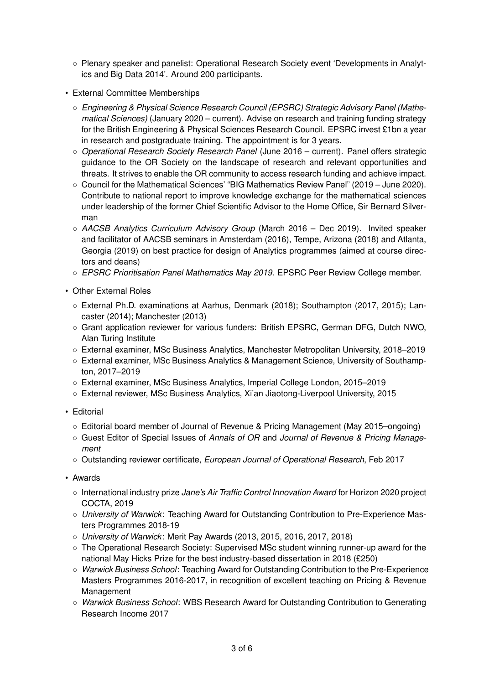- Plenary speaker and panelist: Operational Research Society event 'Developments in Analytics and Big Data 2014'. Around 200 participants.
- External Committee Memberships
	- *Engineering & Physical Science Research Council (EPSRC) Strategic Advisory Panel (Mathematical Sciences)* (January 2020 – current). Advise on research and training funding strategy for the British Engineering & Physical Sciences Research Council. EPSRC invest £1bn a year in research and postgraduate training. The appointment is for 3 years.
	- *Operational Research Society Research Panel* (June 2016 current). Panel offers strategic guidance to the OR Society on the landscape of research and relevant opportunities and threats. It strives to enable the OR community to access research funding and achieve impact.
	- Council for the Mathematical Sciences' "BIG Mathematics Review Panel" (2019 June 2020). Contribute to national report to improve knowledge exchange for the mathematical sciences under leadership of the former Chief Scientific Advisor to the Home Office, Sir Bernard Silverman
	- *AACSB Analytics Curriculum Advisory Group* (March 2016 Dec 2019). Invited speaker and facilitator of AACSB seminars in Amsterdam (2016), Tempe, Arizona (2018) and Atlanta, Georgia (2019) on best practice for design of Analytics programmes (aimed at course directors and deans)
	- *EPSRC Prioritisation Panel Mathematics May 2019*. EPSRC Peer Review College member.
- Other External Roles
	- External Ph.D. examinations at Aarhus, Denmark (2018); Southampton (2017, 2015); Lancaster (2014); Manchester (2013)
	- Grant application reviewer for various funders: British EPSRC, German DFG, Dutch NWO, Alan Turing Institute
	- External examiner, MSc Business Analytics, Manchester Metropolitan University, 2018–2019
	- External examiner, MSc Business Analytics & Management Science, University of Southampton, 2017–2019
	- External examiner, MSc Business Analytics, Imperial College London, 2015–2019
	- External reviewer, MSc Business Analytics, Xi'an Jiaotong-Liverpool University, 2015
- Editorial
	- Editorial board member of Journal of Revenue & Pricing Management (May 2015–ongoing)
	- Guest Editor of Special Issues of *Annals of OR* and *Journal of Revenue & Pricing Management*
	- Outstanding reviewer certificate, *European Journal of Operational Research*, Feb 2017
- Awards
	- International industry prize *Jane's Air Traffic Control Innovation Award* for Horizon 2020 project COCTA, 2019
	- *University of Warwick*: Teaching Award for Outstanding Contribution to Pre-Experience Masters Programmes 2018-19
	- *University of Warwick*: Merit Pay Awards (2013, 2015, 2016, 2017, 2018)
	- The Operational Research Society: Supervised MSc student winning runner-up award for the national May Hicks Prize for the best industry-based dissertation in 2018 (£250)
	- *Warwick Business School*: Teaching Award for Outstanding Contribution to the Pre-Experience Masters Programmes 2016-2017, in recognition of excellent teaching on Pricing & Revenue Management
	- *Warwick Business School*: WBS Research Award for Outstanding Contribution to Generating Research Income 2017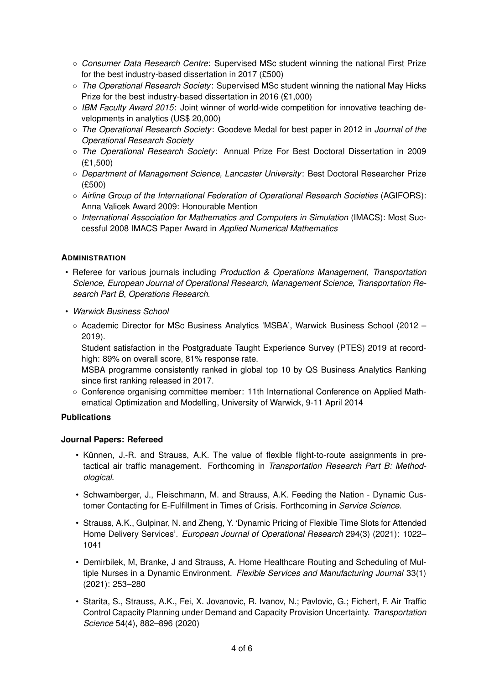- *Consumer Data Research Centre*: Supervised MSc student winning the national First Prize for the best industry-based dissertation in 2017 (£500)
- *The Operational Research Society*: Supervised MSc student winning the national May Hicks Prize for the best industry-based dissertation in 2016 (£1,000)
- *IBM Faculty Award 2015*: Joint winner of world-wide competition for innovative teaching developments in analytics (US\$ 20,000)
- *The Operational Research Society*: Goodeve Medal for best paper in 2012 in *Journal of the Operational Research Society*
- *The Operational Research Society*: Annual Prize For Best Doctoral Dissertation in 2009 (£1,500)
- *Department of Management Science, Lancaster University*: Best Doctoral Researcher Prize (£500)
- *Airline Group of the International Federation of Operational Research Societies* (AGIFORS): Anna Valicek Award 2009: Honourable Mention
- *International Association for Mathematics and Computers in Simulation* (IMACS): Most Successful 2008 IMACS Paper Award in *Applied Numerical Mathematics*

## **ADMINISTRATION**

- Referee for various journals including *Production & Operations Management*, *Transportation Science*, *European Journal of Operational Research*, *Management Science*, *Transportation Research Part B*, *Operations Research*.
- *Warwick Business School*
	- Academic Director for MSc Business Analytics 'MSBA', Warwick Business School (2012 2019).

Student satisfaction in the Postgraduate Taught Experience Survey (PTES) 2019 at recordhigh: 89% on overall score, 81% response rate.

MSBA programme consistently ranked in global top 10 by QS Business Analytics Ranking since first ranking released in 2017.

◦ Conference organising committee member: 11th International Conference on Applied Mathematical Optimization and Modelling, University of Warwick, 9-11 April 2014

#### **Publications**

#### **Journal Papers: Refereed**

- Künnen, J.-R. and Strauss, A.K. The value of flexible flight-to-route assignments in pretactical air traffic management. Forthcoming in *Transportation Research Part B: Methodological*.
- Schwamberger, J., Fleischmann, M. and Strauss, A.K. Feeding the Nation Dynamic Customer Contacting for E-Fulfillment in Times of Crisis. Forthcoming in *Service Science*.
- Strauss, A.K., Gulpinar, N. and Zheng, Y. 'Dynamic Pricing of Flexible Time Slots for Attended Home Delivery Services'. *European Journal of Operational Research* 294(3) (2021): 1022– 1041
- Demirbilek, M, Branke, J and Strauss, A. Home Healthcare Routing and Scheduling of Multiple Nurses in a Dynamic Environment. *Flexible Services and Manufacturing Journal* 33(1) (2021): 253–280
- Starita, S., Strauss, A.K., Fei, X. Jovanovic, R. Ivanov, N.; Pavlovic, G.; Fichert, F. Air Traffic Control Capacity Planning under Demand and Capacity Provision Uncertainty. *Transportation Science* 54(4), 882–896 (2020)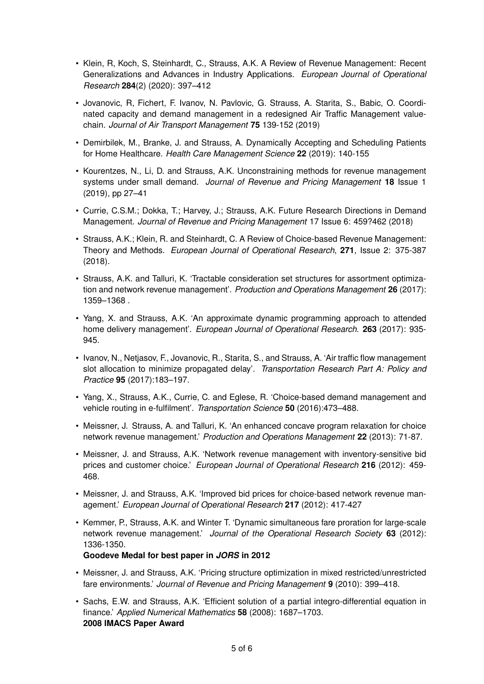- Klein, R, Koch, S, Steinhardt, C., Strauss, A.K. A Review of Revenue Management: Recent Generalizations and Advances in Industry Applications. *European Journal of Operational Research* **284**(2) (2020): 397–412
- Jovanovic, R, Fichert, F. Ivanov, N. Pavlovic, G. Strauss, A. Starita, S., Babic, O. Coordinated capacity and demand management in a redesigned Air Traffic Management valuechain. *Journal of Air Transport Management* **75** 139-152 (2019)
- Demirbilek, M., Branke, J. and Strauss, A. Dynamically Accepting and Scheduling Patients for Home Healthcare. *Health Care Management Science* **22** (2019): 140-155
- Kourentzes, N., Li, D. and Strauss, A.K. Unconstraining methods for revenue management systems under small demand. *Journal of Revenue and Pricing Management* **18** Issue 1 (2019), pp 27–41
- Currie, C.S.M.; Dokka, T.; Harvey, J.; Strauss, A.K. Future Research Directions in Demand Management. *Journal of Revenue and Pricing Management* 17 Issue 6: 459?462 (2018)
- Strauss, A.K.; Klein, R. and Steinhardt, C. A Review of Choice-based Revenue Management: Theory and Methods. *European Journal of Operational Research*, **271**, Issue 2: 375-387 (2018).
- Strauss, A.K. and Talluri, K. 'Tractable consideration set structures for assortment optimization and network revenue management'. *Production and Operations Management* **26** (2017): 1359–1368 .
- Yang, X. and Strauss, A.K. 'An approximate dynamic programming approach to attended home delivery management'. *European Journal of Operational Research*. **263** (2017): 935- 945.
- Ivanov, N., Netjasov, F., Jovanovic, R., Starita, S., and Strauss, A. 'Air traffic flow management slot allocation to minimize propagated delay'. *Transportation Research Part A: Policy and Practice* **95** (2017):183–197.
- Yang, X., Strauss, A.K., Currie, C. and Eglese, R. 'Choice-based demand management and vehicle routing in e-fulfilment'. *Transportation Science* **50** (2016):473–488.
- Meissner, J. Strauss, A. and Talluri, K. 'An enhanced concave program relaxation for choice network revenue management.' *Production and Operations Management* **22** (2013): 71-87.
- Meissner, J. and Strauss, A.K. 'Network revenue management with inventory-sensitive bid prices and customer choice.' *European Journal of Operational Research* **216** (2012): 459- 468.
- Meissner, J. and Strauss, A.K. 'Improved bid prices for choice-based network revenue management.' *European Journal of Operational Research* **217** (2012): 417-427
- Kemmer, P., Strauss, A.K. and Winter T. 'Dynamic simultaneous fare proration for large-scale network revenue management.' *Journal of the Operational Research Society* **63** (2012): 1336-1350.

**Goodeve Medal for best paper in** *JORS* **in 2012**

- Meissner, J. and Strauss, A.K. 'Pricing structure optimization in mixed restricted/unrestricted fare environments.' *Journal of Revenue and Pricing Management* **9** (2010): 399–418.
- Sachs, E.W. and Strauss, A.K. 'Efficient solution of a partial integro-differential equation in finance.' *Applied Numerical Mathematics* **58** (2008): 1687–1703. **2008 IMACS Paper Award**